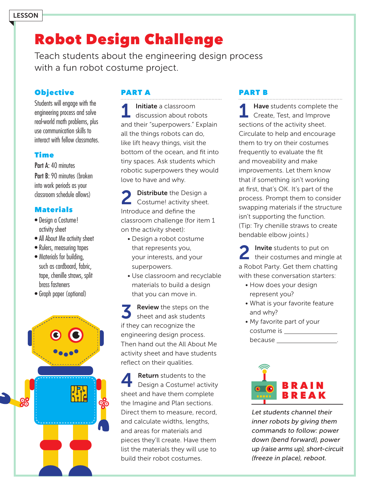# Robot Design Challenge

Teach students about the engineering design process with a fun robot costume project.

#### **Objective**

Students will engage with the engineering process and solve real-world math problems, plus use communication skills to interact with fellow classmates.

#### Time

Part A: 40 minutes Part B: 90 minutes (broken into work periods as your classroom schedule allows)

#### **Materials**

- Design a Costume! activity sheet
- All About Me activity sheet
- Rulers, measuring tapes
- Materials for building, such as cardboard, fabric, tape, chenille straws, split brass fasteners
- Graph paper (optional)



### PART A

1 Initiate a classroom<br>discussion about robots and their "superpowers." Explain all the things robots can do, like lift heavy things, visit the bottom of the ocean, and fit into tiny spaces. Ask students which robotic superpowers they would love to have and why.

**Distribute** the Design a Costume! activity sheet. Introduce and define the classroom challenge (for item 1 on the activity sheet):

- Design a robot costume that represents you, your interests, and your superpowers.
- Use classroom and recyclable materials to build a design that you can move in.

**Review** the steps on the sheet and ask students if they can recognize the engineering design process. Then hand out the All About Me activity sheet and have students reflect on their qualities.

**4** Return students to the Design a Costume! activity sheet and have them complete the Imagine and Plan sections. Direct them to measure, record, and calculate widths, lengths, and areas for materials and pieces they'll create. Have them list the materials they will use to build their robot costumes.

#### PART B

Have students complete the **Create, Test, and Improve** sections of the activity sheet. Circulate to help and encourage them to try on their costumes frequently to evaluate the fit and moveability and make improvements. Let them know that if something isn't working at first, that's OK. It's part of the process. Prompt them to consider swapping materials if the structure isn't supporting the function. (Tip: Try chenille straws to create bendable elbow joints.)

2 Invite students to put on their costumes and mingle at a Robot Party. Get them chatting with these conversation starters:

- How does your design represent you?
- What is your favorite feature and why?
- My favorite part of your costume is because \_\_\_



Let students channel their inner robots by giving them commands to follow: power down (bend forward), power up (raise arms up), short-circuit (freeze in place), reboot.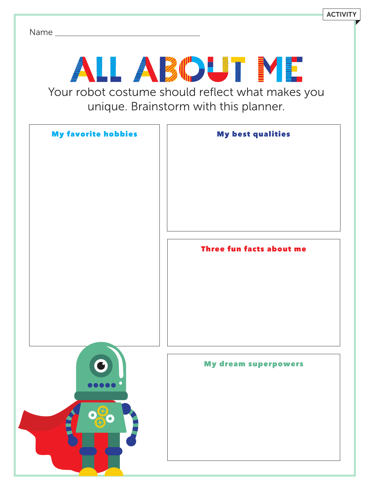